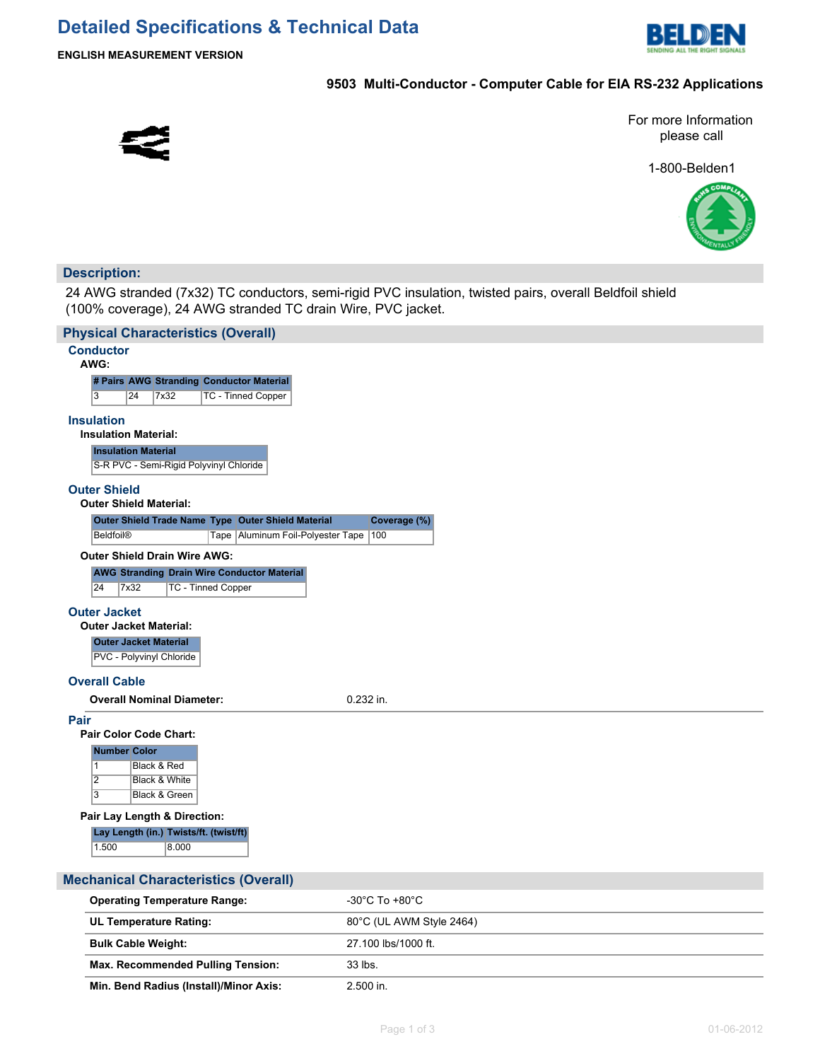

### **9503 Multi-Conductor - Computer Cable for EIA RS-232 Applications**



For more Information please call

1-800-Belden1



### **Description:**

24 AWG stranded (7x32) TC conductors, semi-rigid PVC insulation, twisted pairs, overall Beldfoil shield (100% coverage), 24 AWG stranded TC drain Wire, PVC jacket.

| <b>Physical Characteristics (Overall)</b>                 |                          |
|-----------------------------------------------------------|--------------------------|
| <b>Conductor</b><br>AWG:                                  |                          |
| # Pairs AWG Stranding Conductor Material                  |                          |
| 3<br>24<br>7x32<br>TC - Tinned Copper                     |                          |
| <b>Insulation</b>                                         |                          |
| <b>Insulation Material:</b>                               |                          |
| <b>Insulation Material</b>                                |                          |
| S-R PVC - Semi-Rigid Polyvinyl Chloride                   |                          |
| <b>Outer Shield</b><br><b>Outer Shield Material:</b>      |                          |
| Outer Shield Trade Name Type Outer Shield Material        | Coverage (%)             |
| Tape Aluminum Foil-Polyester Tape 100<br><b>Beldfoil®</b> |                          |
| <b>Outer Shield Drain Wire AWG:</b>                       |                          |
| <b>AWG Stranding Drain Wire Conductor Material</b>        |                          |
| 24<br>7x32<br><b>TC - Tinned Copper</b>                   |                          |
| <b>Outer Jacket</b>                                       |                          |
| <b>Outer Jacket Material:</b>                             |                          |
| <b>Outer Jacket Material</b><br>PVC - Polyvinyl Chloride  |                          |
| <b>Overall Cable</b>                                      |                          |
| <b>Overall Nominal Diameter:</b>                          | 0.232 in.                |
| Pair<br>Pair Color Code Chart:                            |                          |
| <b>Number Color</b>                                       |                          |
| $\mathbf{1}$<br>Black & Red                               |                          |
| $\overline{2}$<br>Black & White                           |                          |
| $\overline{3}$<br>Black & Green                           |                          |
| Pair Lay Length & Direction:                              |                          |
| Lay Length (in.) Twists/ft. (twist/ft)                    |                          |
| 1.500<br>8.000                                            |                          |
| <b>Mechanical Characteristics (Overall)</b>               |                          |
| <b>Operating Temperature Range:</b>                       | -30°C To +80°C           |
| <b>UL Temperature Rating:</b>                             | 80°C (UL AWM Style 2464) |
|                                                           |                          |

| .                                        |                     |
|------------------------------------------|---------------------|
| <b>Bulk Cable Weight:</b>                | 27.100 lbs/1000 ft. |
| <b>Max. Recommended Pulling Tension:</b> | 33 lbs.             |
| Min. Bend Radius (Install)/Minor Axis:   | 2.500 in.           |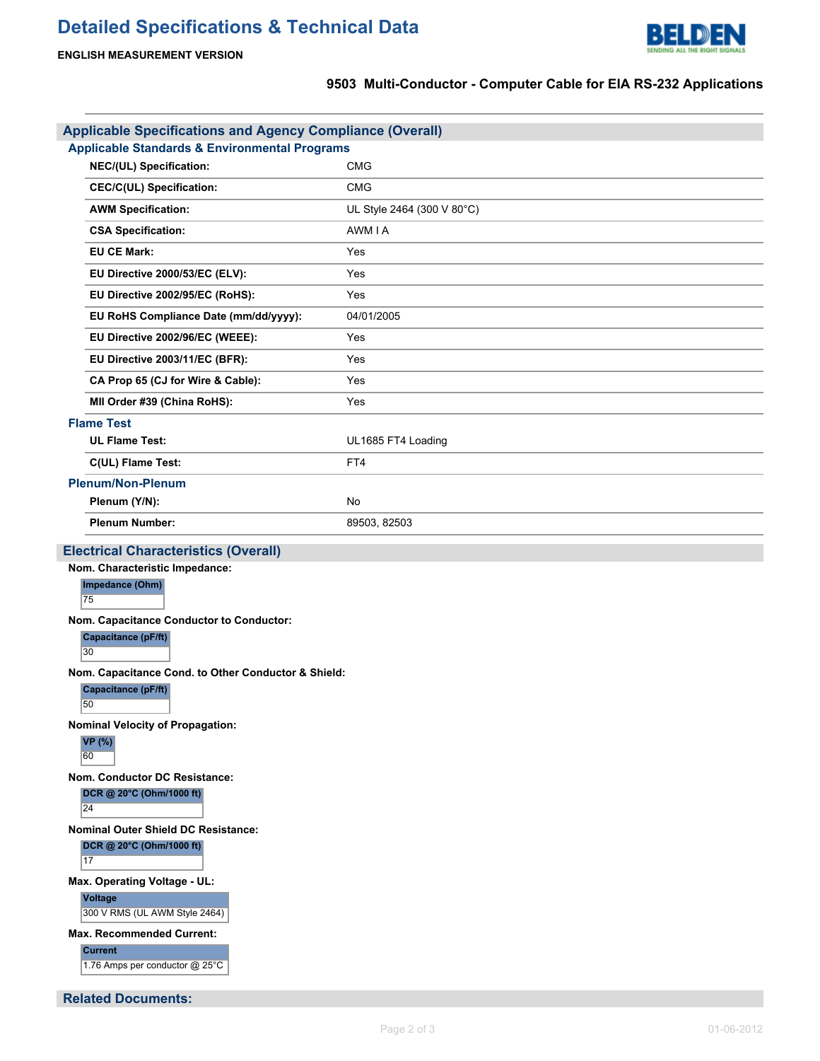# **Detailed Specifications & Technical Data**



## **9503 Multi-Conductor - Computer Cable for EIA RS-232 Applications**

| <b>Applicable Specifications and Agency Compliance (Overall)</b><br><b>Applicable Standards &amp; Environmental Programs</b> |                            |  |  |  |  |
|------------------------------------------------------------------------------------------------------------------------------|----------------------------|--|--|--|--|
| NEC/(UL) Specification:                                                                                                      | <b>CMG</b>                 |  |  |  |  |
| <b>CEC/C(UL) Specification:</b>                                                                                              | <b>CMG</b>                 |  |  |  |  |
| <b>AWM Specification:</b>                                                                                                    | UL Style 2464 (300 V 80°C) |  |  |  |  |
| <b>CSA Specification:</b>                                                                                                    | AWM I A                    |  |  |  |  |
| <b>EU CE Mark:</b>                                                                                                           | Yes                        |  |  |  |  |
| EU Directive 2000/53/EC (ELV):                                                                                               | Yes                        |  |  |  |  |
| EU Directive 2002/95/EC (RoHS):                                                                                              | Yes                        |  |  |  |  |
| EU RoHS Compliance Date (mm/dd/yyyy):                                                                                        | 04/01/2005                 |  |  |  |  |
| EU Directive 2002/96/EC (WEEE):                                                                                              | Yes                        |  |  |  |  |
| EU Directive 2003/11/EC (BFR):                                                                                               | Yes                        |  |  |  |  |
| CA Prop 65 (CJ for Wire & Cable):                                                                                            | Yes                        |  |  |  |  |
| MII Order #39 (China RoHS):                                                                                                  | Yes                        |  |  |  |  |
| <b>Flame Test</b>                                                                                                            |                            |  |  |  |  |
| <b>UL Flame Test:</b>                                                                                                        | UL1685 FT4 Loading         |  |  |  |  |
| C(UL) Flame Test:                                                                                                            | FT4                        |  |  |  |  |
| <b>Plenum/Non-Plenum</b>                                                                                                     |                            |  |  |  |  |
| Plenum (Y/N):                                                                                                                | No                         |  |  |  |  |
| <b>Plenum Number:</b>                                                                                                        | 89503, 82503               |  |  |  |  |
| <b>Electrical Characteristics (Overall)</b>                                                                                  |                            |  |  |  |  |
| Nom. Characteristic Impedance:                                                                                               |                            |  |  |  |  |
| Impedance (Ohm)<br>75                                                                                                        |                            |  |  |  |  |
| Nom. Capacitance Conductor to Conductor:                                                                                     |                            |  |  |  |  |
| <b>Capacitance (pF/ft)</b><br>30                                                                                             |                            |  |  |  |  |
| Nom. Capacitance Cond. to Other Conductor & Shield:                                                                          |                            |  |  |  |  |
| Capacitance (pF/ft)<br>50                                                                                                    |                            |  |  |  |  |
| <b>Nominal Velocity of Propagation:</b>                                                                                      |                            |  |  |  |  |
| <b>VP</b> (%)<br>60                                                                                                          |                            |  |  |  |  |
| Nom. Conductor DC Resistance:                                                                                                |                            |  |  |  |  |
| DCR @ 20°C (Ohm/1000 ft)<br>24                                                                                               |                            |  |  |  |  |
| <b>Nominal Outer Shield DC Resistance:</b>                                                                                   |                            |  |  |  |  |
| DCR @ 20°C (Ohm/1000 ft)<br>17                                                                                               |                            |  |  |  |  |
| Max. Operating Voltage - UL:                                                                                                 |                            |  |  |  |  |
| Voltage<br>300 V RMS (UL AWM Style 2464)                                                                                     |                            |  |  |  |  |
| <b>Max. Recommended Current:</b>                                                                                             |                            |  |  |  |  |
| <b>Current</b><br>1.76 Amps per conductor @ 25°C                                                                             |                            |  |  |  |  |